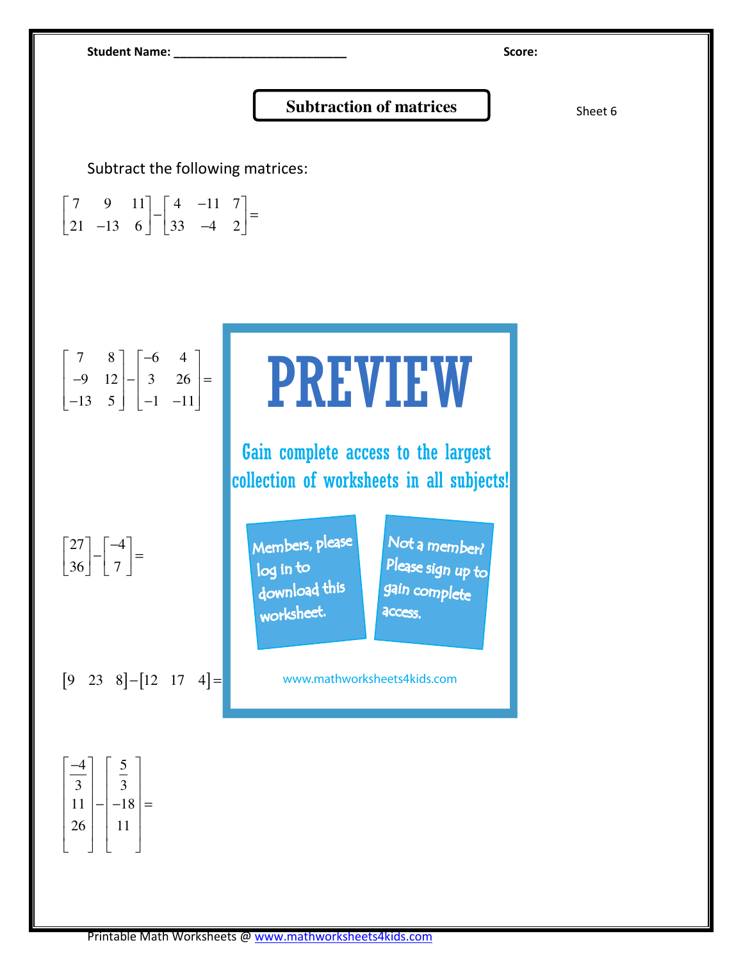